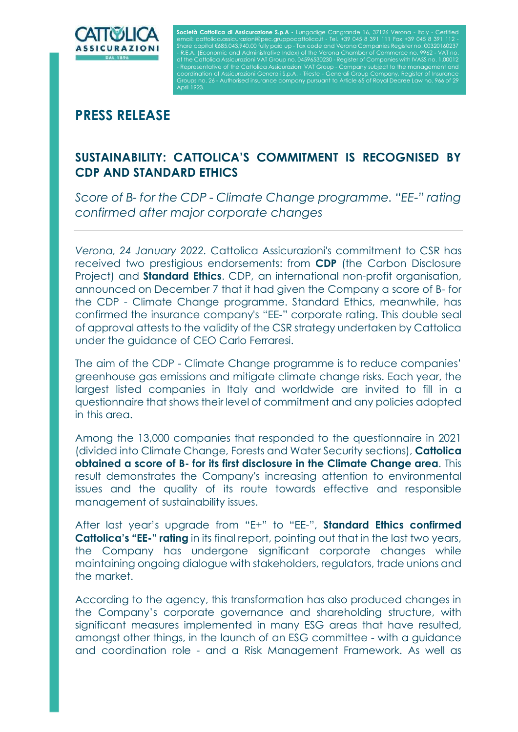

**Società Cattolica di Assicurazione S.p.A -** Lungadiae email: [cattolica.assicurazioni@pec.gruppocattolica.it](mailto:cattolica.assicurazioni@pec.gruppocattolica.it) - Tel. +39 045 8 391 111 Fax +39 045 8 391 112 - - Representative of the Cattolica Assicurazioni VAT Group - Company subject to the management and coordination of Assicurazioni Generali S.p.A. - Trieste - Generali Group Company, Register of Insurance April 1923.

## **PRESS RELEASE**

## **SUSTAINABILITY: CATTOLICA'S COMMITMENT IS RECOGNISED BY CDP AND STANDARD ETHICS**

*Score of B- for the CDP - Climate Change programme. "EE-" rating confirmed after major corporate changes*

*Verona, 24 January 2022.* Cattolica Assicurazioni's commitment to CSR has received two prestigious endorsements: from **CDP** (the Carbon Disclosure Project) and **Standard Ethics**. CDP, an international non-profit organisation, announced on December 7 that it had given the Company a score of B- for the CDP - Climate Change programme. Standard Ethics, meanwhile, has confirmed the insurance company's "EE-" corporate rating. This double seal of approval attests to the validity of the CSR strategy undertaken by Cattolica under the guidance of CEO Carlo Ferraresi.

The aim of the CDP - Climate Change programme is to reduce companies' greenhouse gas emissions and mitigate climate change risks. Each year, the largest listed companies in Italy and worldwide are invited to fill in a questionnaire that shows their level of commitment and any policies adopted in this area.

Among the 13,000 companies that responded to the questionnaire in 2021 (divided into Climate Change, Forests and Water Security sections), **Cattolica obtained a score of B- for its first disclosure in the Climate Change area**. This result demonstrates the Company's increasing attention to environmental issues and the quality of its route towards effective and responsible management of sustainability issues.

After last year's upgrade from "E+" to "EE-", **Standard Ethics confirmed Cattolica's "EE-" rating** in its final report, pointing out that in the last two years, the Company has undergone significant corporate changes while maintaining ongoing dialogue with stakeholders, regulators, trade unions and the market.

According to the agency, this transformation has also produced changes in the Company's corporate governance and shareholding structure, with significant measures implemented in many ESG areas that have resulted, amongst other things, in the launch of an ESG committee - with a guidance and coordination role - and a Risk Management Framework. As well as